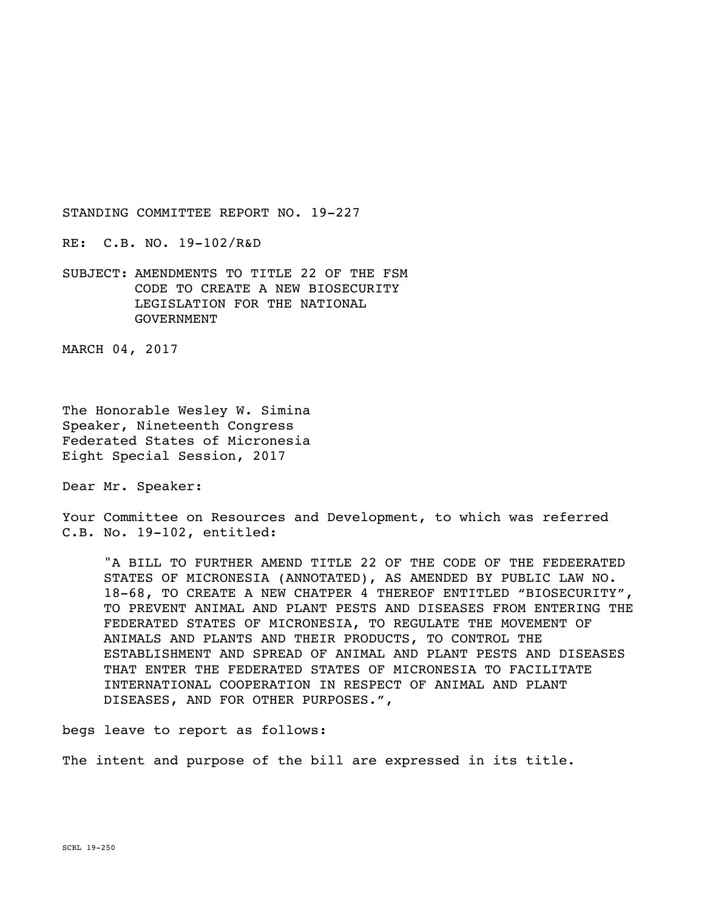RE: C.B. NO. 19-102/R&D

SUBJECT: AMENDMENTS TO TITLE 22 OF THE FSM CODE TO CREATE A NEW BIOSECURITY LEGISLATION FOR THE NATIONAL GOVERNMENT

MARCH 04, 2017

The Honorable Wesley W. Simina Speaker, Nineteenth Congress Federated States of Micronesia Eight Special Session, 2017

Dear Mr. Speaker:

Your Committee on Resources and Development, to which was referred C.B. No. 19-102, entitled:

"A BILL TO FURTHER AMEND TITLE 22 OF THE CODE OF THE FEDEERATED STATES OF MICRONESIA (ANNOTATED), AS AMENDED BY PUBLIC LAW NO. 18-68, TO CREATE A NEW CHATPER 4 THEREOF ENTITLED "BIOSECURITY", TO PREVENT ANIMAL AND PLANT PESTS AND DISEASES FROM ENTERING THE FEDERATED STATES OF MICRONESIA, TO REGULATE THE MOVEMENT OF ANIMALS AND PLANTS AND THEIR PRODUCTS, TO CONTROL THE ESTABLISHMENT AND SPREAD OF ANIMAL AND PLANT PESTS AND DISEASES THAT ENTER THE FEDERATED STATES OF MICRONESIA TO FACILITATE INTERNATIONAL COOPERATION IN RESPECT OF ANIMAL AND PLANT DISEASES, AND FOR OTHER PURPOSES.",

begs leave to report as follows:

The intent and purpose of the bill are expressed in its title.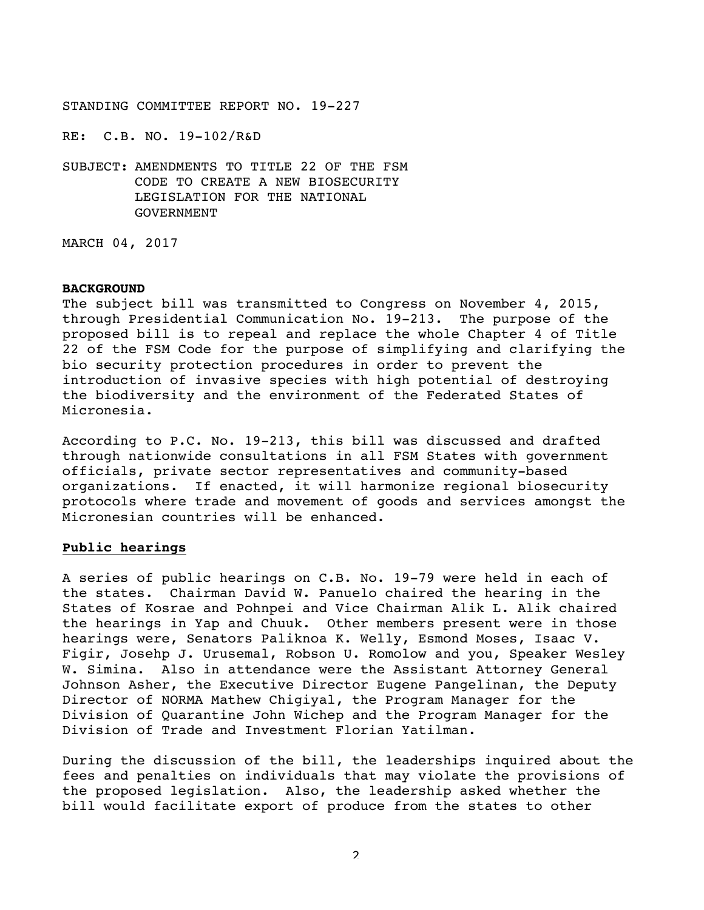RE: C.B. NO. 19-102/R&D

SUBJECT: AMENDMENTS TO TITLE 22 OF THE FSM CODE TO CREATE A NEW BIOSECURITY LEGISLATION FOR THE NATIONAL GOVERNMENT

MARCH 04, 2017

#### **BACKGROUND**

The subject bill was transmitted to Congress on November 4, 2015, through Presidential Communication No. 19-213. The purpose of the proposed bill is to repeal and replace the whole Chapter 4 of Title 22 of the FSM Code for the purpose of simplifying and clarifying the bio security protection procedures in order to prevent the introduction of invasive species with high potential of destroying the biodiversity and the environment of the Federated States of Micronesia.

According to P.C. No. 19-213, this bill was discussed and drafted through nationwide consultations in all FSM States with government officials, private sector representatives and community-based organizations. If enacted, it will harmonize regional biosecurity protocols where trade and movement of goods and services amongst the Micronesian countries will be enhanced.

# **Public hearings**

A series of public hearings on C.B. No. 19-79 were held in each of the states. Chairman David W. Panuelo chaired the hearing in the States of Kosrae and Pohnpei and Vice Chairman Alik L. Alik chaired the hearings in Yap and Chuuk. Other members present were in those hearings were, Senators Paliknoa K. Welly, Esmond Moses, Isaac V. Figir, Josehp J. Urusemal, Robson U. Romolow and you, Speaker Wesley W. Simina. Also in attendance were the Assistant Attorney General Johnson Asher, the Executive Director Eugene Pangelinan, the Deputy Director of NORMA Mathew Chigiyal, the Program Manager for the Division of Quarantine John Wichep and the Program Manager for the Division of Trade and Investment Florian Yatilman.

During the discussion of the bill, the leaderships inquired about the fees and penalties on individuals that may violate the provisions of the proposed legislation. Also, the leadership asked whether the bill would facilitate export of produce from the states to other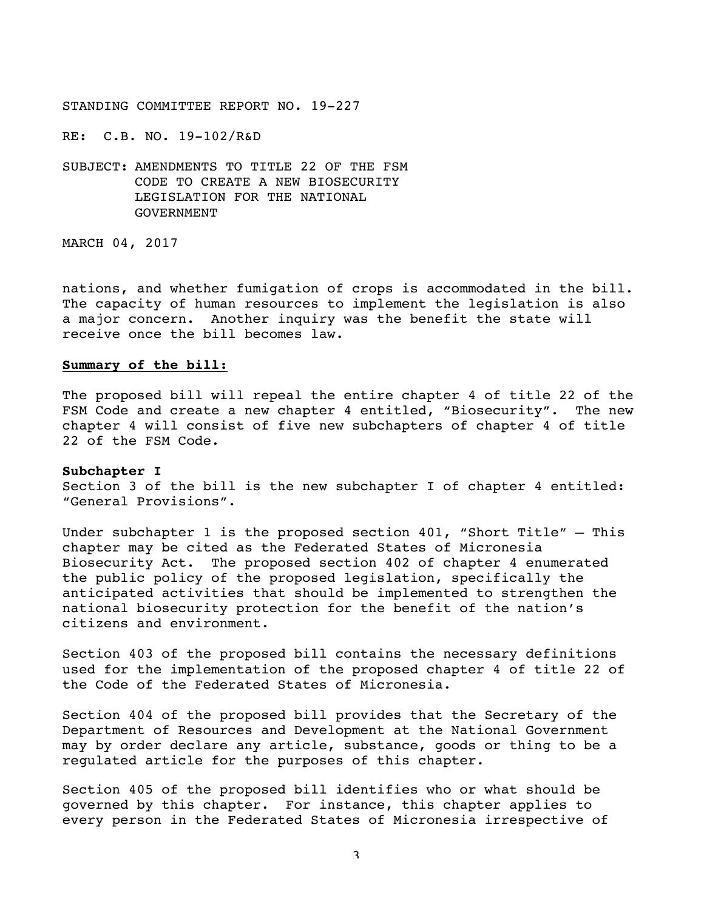RE: C.B. NO. 19-102/R&D

SUBJECT: AMENDMENTS TO TITLE 22 OF THE FSM CODE TO CREATE A NEW BIOSECURITY LEGISLATION FOR THE NATIONAL GOVERNMENT

MARCH 04, 2017

nations, and whether fumigation of crops is accommodated in the bill. The capacity of human resources to implement the legislation is also a major concern. Another inquiry was the benefit the state will receive once the bill becomes law.

## **Summary of the bill:**

The proposed bill will repeal the entire chapter 4 of title 22 of the FSM Code and create a new chapter 4 entitled, "Biosecurity". The new chapter 4 will consist of five new subchapters of chapter 4 of title 22 of the FSM Code.

#### **Subchapter I**

Section 3 of the bill is the new subchapter I of chapter 4 entitled: "General Provisions".

Under subchapter 1 is the proposed section 401, "Short Title" – This chapter may be cited as the Federated States of Micronesia Biosecurity Act. The proposed section 402 of chapter 4 enumerated the public policy of the proposed legislation, specifically the anticipated activities that should be implemented to strengthen the national biosecurity protection for the benefit of the nation's citizens and environment.

Section 403 of the proposed bill contains the necessary definitions used for the implementation of the proposed chapter 4 of title 22 of the Code of the Federated States of Micronesia.

Section 404 of the proposed bill provides that the Secretary of the Department of Resources and Development at the National Government may by order declare any article, substance, goods or thing to be a regulated article for the purposes of this chapter.

Section 405 of the proposed bill identifies who or what should be governed by this chapter. For instance, this chapter applies to every person in the Federated States of Micronesia irrespective of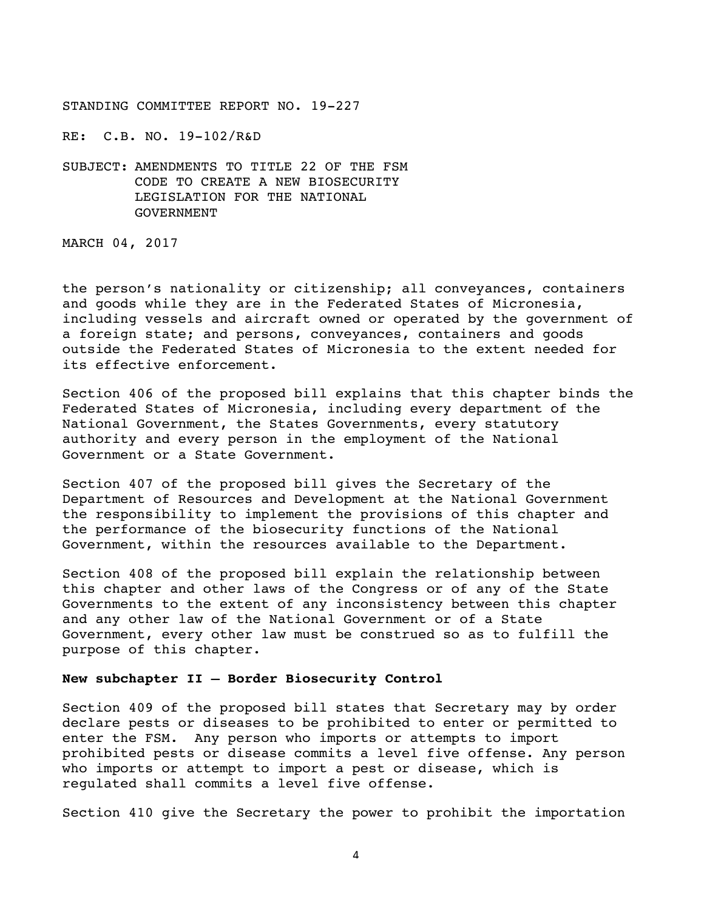RE: C.B. NO. 19-102/R&D

SUBJECT: AMENDMENTS TO TITLE 22 OF THE FSM CODE TO CREATE A NEW BIOSECURITY LEGISLATION FOR THE NATIONAL GOVERNMENT

MARCH 04, 2017

the person's nationality or citizenship; all conveyances, containers and goods while they are in the Federated States of Micronesia, including vessels and aircraft owned or operated by the government of a foreign state; and persons, conveyances, containers and goods outside the Federated States of Micronesia to the extent needed for its effective enforcement.

Section 406 of the proposed bill explains that this chapter binds the Federated States of Micronesia, including every department of the National Government, the States Governments, every statutory authority and every person in the employment of the National Government or a State Government.

Section 407 of the proposed bill gives the Secretary of the Department of Resources and Development at the National Government the responsibility to implement the provisions of this chapter and the performance of the biosecurity functions of the National Government, within the resources available to the Department.

Section 408 of the proposed bill explain the relationship between this chapter and other laws of the Congress or of any of the State Governments to the extent of any inconsistency between this chapter and any other law of the National Government or of a State Government, every other law must be construed so as to fulfill the purpose of this chapter.

## **New subchapter II – Border Biosecurity Control**

Section 409 of the proposed bill states that Secretary may by order declare pests or diseases to be prohibited to enter or permitted to enter the FSM. Any person who imports or attempts to import prohibited pests or disease commits a level five offense. Any person who imports or attempt to import a pest or disease, which is regulated shall commits a level five offense.

Section 410 give the Secretary the power to prohibit the importation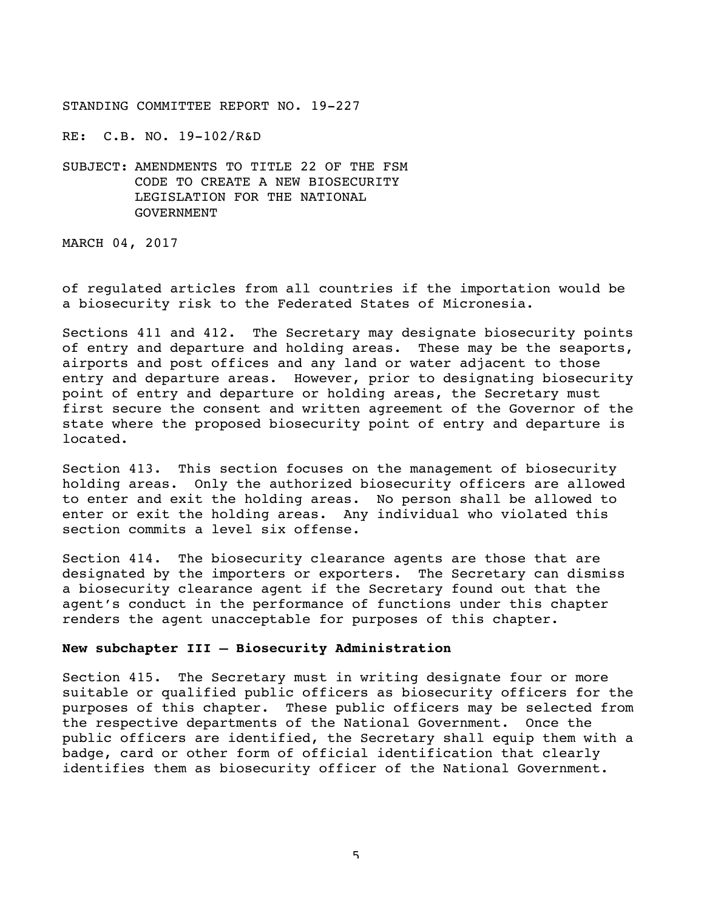RE: C.B. NO. 19-102/R&D

SUBJECT: AMENDMENTS TO TITLE 22 OF THE FSM CODE TO CREATE A NEW BIOSECURITY LEGISLATION FOR THE NATIONAL GOVERNMENT

MARCH 04, 2017

of regulated articles from all countries if the importation would be a biosecurity risk to the Federated States of Micronesia.

Sections 411 and 412. The Secretary may designate biosecurity points of entry and departure and holding areas. These may be the seaports, airports and post offices and any land or water adjacent to those entry and departure areas. However, prior to designating biosecurity point of entry and departure or holding areas, the Secretary must first secure the consent and written agreement of the Governor of the state where the proposed biosecurity point of entry and departure is located.

Section 413. This section focuses on the management of biosecurity holding areas. Only the authorized biosecurity officers are allowed to enter and exit the holding areas. No person shall be allowed to enter or exit the holding areas. Any individual who violated this section commits a level six offense.

Section 414. The biosecurity clearance agents are those that are designated by the importers or exporters. The Secretary can dismiss a biosecurity clearance agent if the Secretary found out that the agent's conduct in the performance of functions under this chapter renders the agent unacceptable for purposes of this chapter.

## **New subchapter III – Biosecurity Administration**

Section 415. The Secretary must in writing designate four or more suitable or qualified public officers as biosecurity officers for the purposes of this chapter. These public officers may be selected from the respective departments of the National Government. Once the public officers are identified, the Secretary shall equip them with a badge, card or other form of official identification that clearly identifies them as biosecurity officer of the National Government.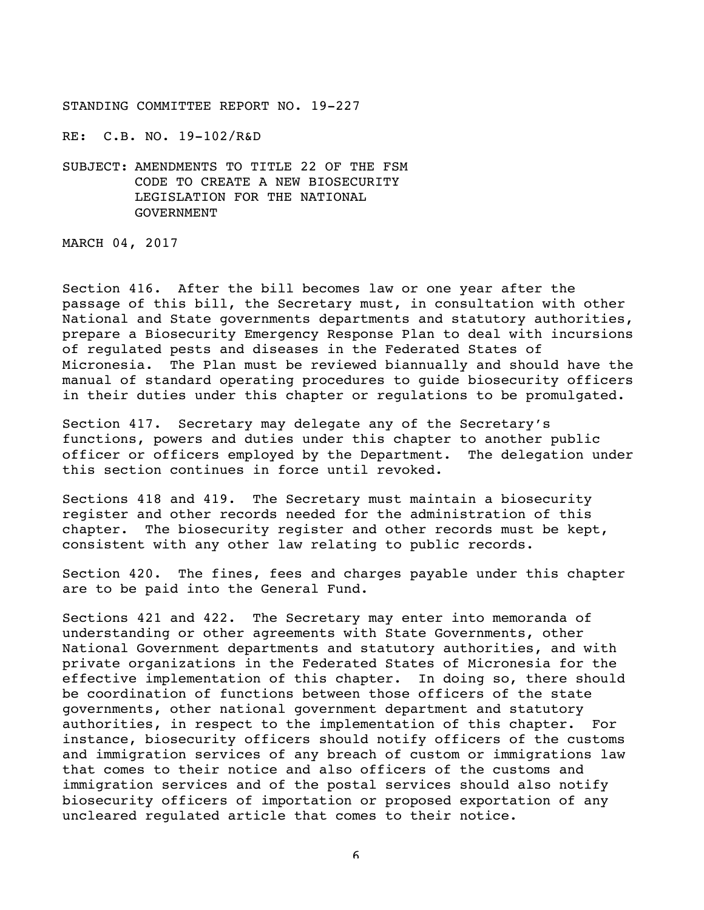RE: C.B. NO. 19-102/R&D

SUBJECT: AMENDMENTS TO TITLE 22 OF THE FSM CODE TO CREATE A NEW BIOSECURITY LEGISLATION FOR THE NATIONAL GOVERNMENT

MARCH 04, 2017

Section 416. After the bill becomes law or one year after the passage of this bill, the Secretary must, in consultation with other National and State governments departments and statutory authorities, prepare a Biosecurity Emergency Response Plan to deal with incursions of regulated pests and diseases in the Federated States of Micronesia. The Plan must be reviewed biannually and should have the manual of standard operating procedures to guide biosecurity officers in their duties under this chapter or regulations to be promulgated.

Section 417. Secretary may delegate any of the Secretary's functions, powers and duties under this chapter to another public officer or officers employed by the Department. The delegation under this section continues in force until revoked.

Sections 418 and 419. The Secretary must maintain a biosecurity register and other records needed for the administration of this chapter. The biosecurity register and other records must be kept, consistent with any other law relating to public records.

Section 420. The fines, fees and charges payable under this chapter are to be paid into the General Fund.

Sections 421 and 422. The Secretary may enter into memoranda of understanding or other agreements with State Governments, other National Government departments and statutory authorities, and with private organizations in the Federated States of Micronesia for the effective implementation of this chapter. In doing so, there should be coordination of functions between those officers of the state governments, other national government department and statutory authorities, in respect to the implementation of this chapter. For instance, biosecurity officers should notify officers of the customs and immigration services of any breach of custom or immigrations law that comes to their notice and also officers of the customs and immigration services and of the postal services should also notify biosecurity officers of importation or proposed exportation of any uncleared regulated article that comes to their notice.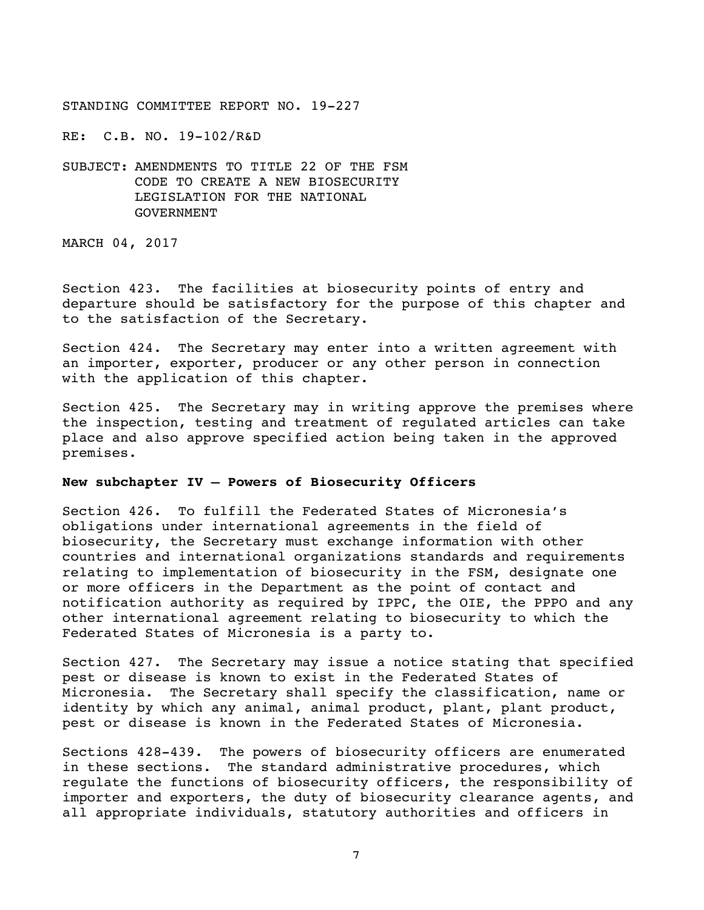RE: C.B. NO. 19-102/R&D

SUBJECT: AMENDMENTS TO TITLE 22 OF THE FSM CODE TO CREATE A NEW BIOSECURITY LEGISLATION FOR THE NATIONAL GOVERNMENT

MARCH 04, 2017

Section 423. The facilities at biosecurity points of entry and departure should be satisfactory for the purpose of this chapter and to the satisfaction of the Secretary.

Section 424. The Secretary may enter into a written agreement with an importer, exporter, producer or any other person in connection with the application of this chapter.

Section 425. The Secretary may in writing approve the premises where the inspection, testing and treatment of regulated articles can take place and also approve specified action being taken in the approved premises.

# **New subchapter IV – Powers of Biosecurity Officers**

Section 426. To fulfill the Federated States of Micronesia's obligations under international agreements in the field of biosecurity, the Secretary must exchange information with other countries and international organizations standards and requirements relating to implementation of biosecurity in the FSM, designate one or more officers in the Department as the point of contact and notification authority as required by IPPC, the OIE, the PPPO and any other international agreement relating to biosecurity to which the Federated States of Micronesia is a party to.

Section 427. The Secretary may issue a notice stating that specified pest or disease is known to exist in the Federated States of Micronesia. The Secretary shall specify the classification, name or identity by which any animal, animal product, plant, plant product, pest or disease is known in the Federated States of Micronesia.

Sections 428-439. The powers of biosecurity officers are enumerated in these sections. The standard administrative procedures, which regulate the functions of biosecurity officers, the responsibility of importer and exporters, the duty of biosecurity clearance agents, and all appropriate individuals, statutory authorities and officers in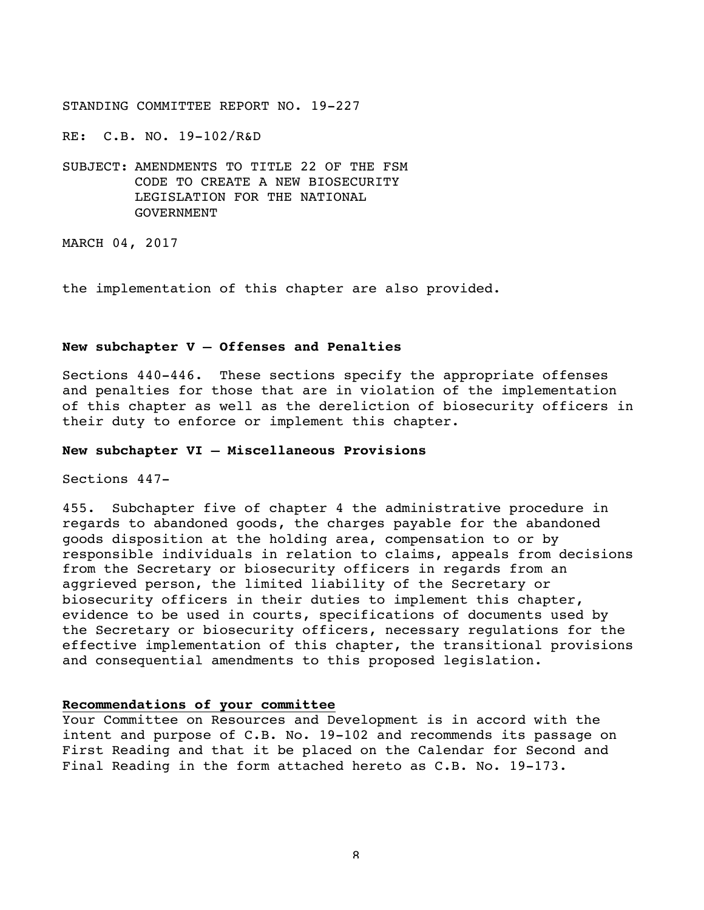RE: C.B. NO. 19-102/R&D

SUBJECT: AMENDMENTS TO TITLE 22 OF THE FSM CODE TO CREATE A NEW BIOSECURITY LEGISLATION FOR THE NATIONAL GOVERNMENT

MARCH 04, 2017

the implementation of this chapter are also provided.

## **New subchapter V – Offenses and Penalties**

Sections 440-446. These sections specify the appropriate offenses and penalties for those that are in violation of the implementation of this chapter as well as the dereliction of biosecurity officers in their duty to enforce or implement this chapter.

#### **New subchapter VI – Miscellaneous Provisions**

Sections 447-

455. Subchapter five of chapter 4 the administrative procedure in regards to abandoned goods, the charges payable for the abandoned goods disposition at the holding area, compensation to or by responsible individuals in relation to claims, appeals from decisions from the Secretary or biosecurity officers in regards from an aggrieved person, the limited liability of the Secretary or biosecurity officers in their duties to implement this chapter, evidence to be used in courts, specifications of documents used by the Secretary or biosecurity officers, necessary regulations for the effective implementation of this chapter, the transitional provisions and consequential amendments to this proposed legislation.

# **Recommendations of your committee**

Your Committee on Resources and Development is in accord with the intent and purpose of C.B. No. 19-102 and recommends its passage on First Reading and that it be placed on the Calendar for Second and Final Reading in the form attached hereto as C.B. No. 19-173.